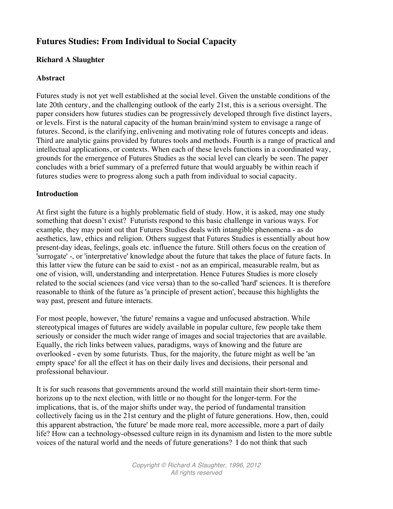# **Futures Studies: From Individual to Social Capacity**

#### **Richard A Slaughter**

#### **Abstract**

Futures study is not yet well established at the social level. Given the unstable conditions of the late 20th century, and the challenging outlook of the early 21st, this is a serious oversight. The paper considers how futures studies can be progressively developed through five distinct layers, or levels. First is the natural capacity of the human brain/mind system to envisage a range of futures. Second, is the clarifying, enlivening and motivating role of futures concepts and ideas. Third are analytic gains provided by futures tools and methods. Fourth is a range of practical and intellectual applications, or contexts. When each of these levels functions in a coordinated way, grounds for the emergence of Futures Studies as the social level can clearly be seen. The paper concludes with a brief summary of a preferred future that would arguably be within reach if futures studies were to progress along such a path from individual to social capacity.

#### **Introduction**

At first sight the future is a highly problematic field of study. How, it is asked, may one study something that doesn't exist? Futurists respond to this basic challenge in various ways. For example, they may point out that Futures Studies deals with intangible phenomena - as do aesthetics, law, ethics and religion. Others suggest that Futures Studies is essentially about how present-day ideas, feelings, goals etc. influence the future. Still others focus on the creation of 'surrogate' -, or 'interpretative' knowledge about the future that takes the place of future facts. In this latter view the future can be said to exist - not as an empirical, measurable realm, but as one of vision, will, understanding and interpretation. Hence Futures Studies is more closely related to the social sciences (and vice versa) than to the so-called 'hard' sciences. It is therefore reasonable to think of the future as 'a principle of present action', because this highlights the way past, present and future interacts.

For most people, however, 'the future' remains a vague and unfocused abstraction. While stereotypical images of futures are widely available in popular culture, few people take them seriously or consider the much wider range of images and social trajectories that are available. Equally, the rich links between values, paradigms, ways of knowing and the future are overlooked - even by some futurists. Thus, for the majority, the future might as well be 'an empty space' for all the effect it has on their daily lives and decisions, their personal and professional behaviour.

It is for such reasons that governments around the world still maintain their short-term timehorizons up to the next election, with little or no thought for the longer-term. For the implications, that is, of the major shifts under way, the period of fundamental transition collectively facing us in the 21st century and the plight of future generations. How, then, could this apparent abstraction, 'the future' be made more real, more accessible, more a part of daily life? How can a technology-obsessed culture reign in its dynamism and listen to the more subtle voices of the natural world and the needs of future generations? I do not think that such

> *Copyright © Richard A Slaughter, 1996, 2012 All rights reserved*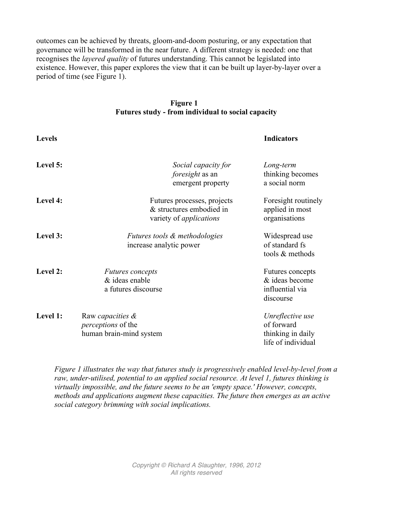outcomes can be achieved by threats, gloom-and-doom posturing, or any expectation that governance will be transformed in the near future. A different strategy is needed: one that recognises the *layered quality* of futures understanding. This cannot be legislated into existence. However, this paper explores the view that it can be built up layer-by-layer over a period of time (see Figure 1).

#### **Figure 1 Futures study - from individual to social capacity**

| <b>Levels</b> |                                                                                           | <b>Indicators</b>                                                         |
|---------------|-------------------------------------------------------------------------------------------|---------------------------------------------------------------------------|
| Level 5:      | Social capacity for<br><i>foresight</i> as an<br>emergent property                        | Long-term<br>thinking becomes<br>a social norm                            |
| Level 4:      | Futures processes, projects<br>& structures embodied in<br>variety of <i>applications</i> | Foresight routinely<br>applied in most<br>organisations                   |
| Level 3:      | <i>Futures tools &amp; methodologies</i><br>increase analytic power                       | Widespread use<br>of standard fs<br>tools & methods                       |
| Level 2:      | <b>Futures</b> concepts<br>& ideas enable<br>a futures discourse                          | Futures concepts<br>& ideas become<br>influential via<br>discourse        |
| Level 1:      | Raw capacities &<br><i>perceptions</i> of the<br>human brain-mind system                  | Unreflective use<br>of forward<br>thinking in daily<br>life of individual |

*Figure 1 illustrates the way that futures study is progressively enabled level-by-level from a raw, under-utilised, potential to an applied social resource. At level 1, futures thinking is virtually impossible, and the future seems to be an 'empty space.' However, concepts, methods and applications augment these capacities. The future then emerges as an active social category brimming with social implications.*

> *Copyright © Richard A Slaughter, 1996, 2012 All rights reserved*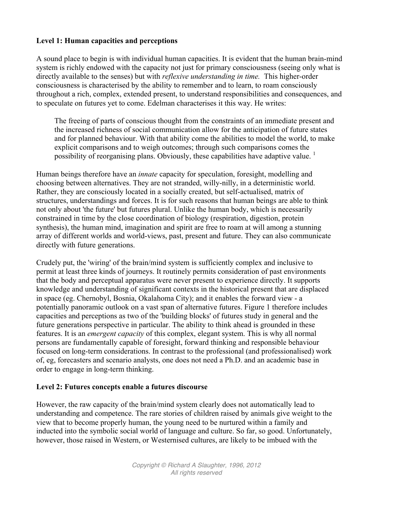# **Level 1: Human capacities and perceptions**

A sound place to begin is with individual human capacities. It is evident that the human brain-mind system is richly endowed with the capacity not just for primary consciousness (seeing only what is directly available to the senses) but with *reflexive understanding in time.* This higher-order consciousness is characterised by the ability to remember and to learn, to roam consciously throughout a rich, complex, extended present, to understand responsibilities and consequences, and to speculate on futures yet to come. Edelman characterises it this way. He writes:

The freeing of parts of conscious thought from the constraints of an immediate present and the increased richness of social communication allow for the anticipation of future states and for planned behaviour. With that ability come the abilities to model the world, to make explicit comparisons and to weigh outcomes; through such comparisons comes the possibility of reorganising plans. Obviously, these capabilities have adaptive value.  $\frac{1}{1}$ 

Human beings therefore have an *innate* capacity for speculation, foresight, modelling and choosing between alternatives. They are not stranded, willy-nilly, in a deterministic world. Rather, they are consciously located in a socially created, but self-actualised, matrix of structures, understandings and forces. It is for such reasons that human beings are able to think not only about 'the future' but futures plural. Unlike the human body, which is necessarily constrained in time by the close coordination of biology (respiration, digestion, protein synthesis), the human mind, imagination and spirit are free to roam at will among a stunning array of different worlds and world-views, past, present and future. They can also communicate directly with future generations.

Crudely put, the 'wiring' of the brain/mind system is sufficiently complex and inclusive to permit at least three kinds of journeys. It routinely permits consideration of past environments that the body and perceptual apparatus were never present to experience directly. It supports knowledge and understanding of significant contexts in the historical present that are displaced in space (eg. Chernobyl, Bosnia, Okalahoma City); and it enables the forward view - a potentially panoramic outlook on a vast span of alternative futures. Figure 1 therefore includes capacities and perceptions as two of the 'building blocks' of futures study in general and the future generations perspective in particular. The ability to think ahead is grounded in these features. It is an *emergent capacity* of this complex, elegant system. This is why all normal persons are fundamentally capable of foresight, forward thinking and responsible behaviour focused on long-term considerations. In contrast to the professional (and professionalised) work of, eg, forecasters and scenario analysts, one does not need a Ph.D. and an academic base in order to engage in long-term thinking.

# **Level 2: Futures concepts enable a futures discourse**

However, the raw capacity of the brain/mind system clearly does not automatically lead to understanding and competence. The rare stories of children raised by animals give weight to the view that to become properly human, the young need to be nurtured within a family and inducted into the symbolic social world of language and culture. So far, so good. Unfortunately, however, those raised in Western, or Westernised cultures, are likely to be imbued with the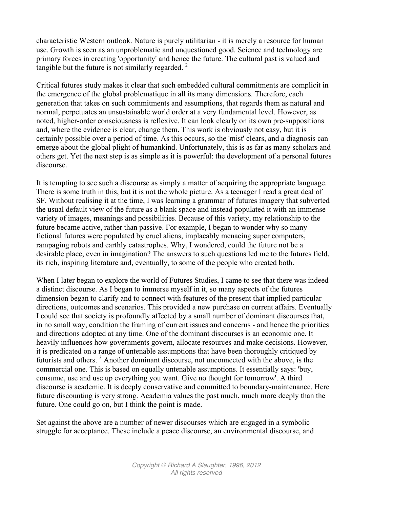characteristic Western outlook. Nature is purely utilitarian - it is merely a resource for human use. Growth is seen as an unproblematic and unquestioned good. Science and technology are primary forces in creating 'opportunity' and hence the future. The cultural past is valued and tangible but the future is not similarly regarded.  $2^2$ 

Critical futures study makes it clear that such embedded cultural commitments are complicit in the emergence of the global problematique in all its many dimensions. Therefore, each generation that takes on such commitments and assumptions, that regards them as natural and normal, perpetuates an unsustainable world order at a very fundamental level. However, as noted, higher-order consciousness is reflexive. It can look clearly on its own pre-suppositions and, where the evidence is clear, change them. This work is obviously not easy, but it is certainly possible over a period of time. As this occurs, so the 'mist' clears, and a diagnosis can emerge about the global plight of humankind. Unfortunately, this is as far as many scholars and others get. Yet the next step is as simple as it is powerful: the development of a personal futures discourse.

It is tempting to see such a discourse as simply a matter of acquiring the appropriate language. There is some truth in this, but it is not the whole picture. As a teenager I read a great deal of SF. Without realising it at the time, I was learning a grammar of futures imagery that subverted the usual default view of the future as a blank space and instead populated it with an immense variety of images, meanings and possibilities. Because of this variety, my relationship to the future became active, rather than passive. For example, I began to wonder why so many fictional futures were populated by cruel aliens, implacably menacing super computers, rampaging robots and earthly catastrophes. Why, I wondered, could the future not be a desirable place, even in imagination? The answers to such questions led me to the futures field, its rich, inspiring literature and, eventually, to some of the people who created both.

When I later began to explore the world of Futures Studies, I came to see that there was indeed a distinct discourse. As I began to immerse myself in it, so many aspects of the futures dimension began to clarify and to connect with features of the present that implied particular directions, outcomes and scenarios. This provided a new purchase on current affairs. Eventually I could see that society is profoundly affected by a small number of dominant discourses that, in no small way, condition the framing of current issues and concerns - and hence the priorities and directions adopted at any time. One of the dominant discourses is an economic one. It heavily influences how governments govern, allocate resources and make decisions. However, it is predicated on a range of untenable assumptions that have been thoroughly critiqued by futurists and others. <sup>3</sup> Another dominant discourse, not unconnected with the above, is the commercial one. This is based on equally untenable assumptions. It essentially says: 'buy, consume, use and use up everything you want. Give no thought for tomorrow'. A third discourse is academic. It is deeply conservative and committed to boundary-maintenance. Here future discounting is very strong. Academia values the past much, much more deeply than the future. One could go on, but I think the point is made.

Set against the above are a number of newer discourses which are engaged in a symbolic struggle for acceptance. These include a peace discourse, an environmental discourse, and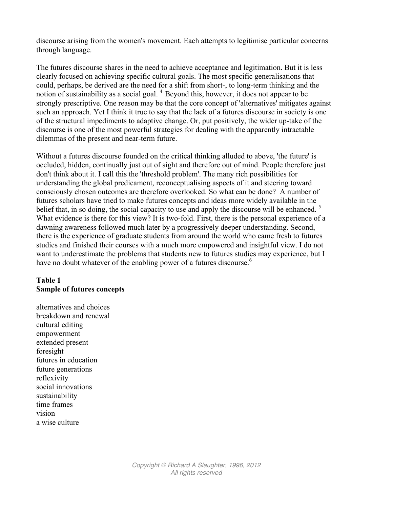discourse arising from the women's movement. Each attempts to legitimise particular concerns through language.

The futures discourse shares in the need to achieve acceptance and legitimation. But it is less clearly focused on achieving specific cultural goals. The most specific generalisations that could, perhaps, be derived are the need for a shift from short-, to long-term thinking and the notion of sustainability as a social goal.  $4$  Beyond this, however, it does not appear to be strongly prescriptive. One reason may be that the core concept of 'alternatives' mitigates against such an approach. Yet I think it true to say that the lack of a futures discourse in society is one of the structural impediments to adaptive change. Or, put positively, the wider up-take of the discourse is one of the most powerful strategies for dealing with the apparently intractable dilemmas of the present and near-term future.

Without a futures discourse founded on the critical thinking alluded to above, 'the future' is occluded, hidden, continually just out of sight and therefore out of mind. People therefore just don't think about it. I call this the 'threshold problem'. The many rich possibilities for understanding the global predicament, reconceptualising aspects of it and steering toward consciously chosen outcomes are therefore overlooked. So what can be done? A number of futures scholars have tried to make futures concepts and ideas more widely available in the belief that, in so doing, the social capacity to use and apply the discourse will be enhanced.<sup>5</sup> What evidence is there for this view? It is two-fold. First, there is the personal experience of a dawning awareness followed much later by a progressively deeper understanding. Second, there is the experience of graduate students from around the world who came fresh to futures studies and finished their courses with a much more empowered and insightful view. I do not want to underestimate the problems that students new to futures studies may experience, but I have no doubt whatever of the enabling power of a futures discourse.<sup>6</sup>

# **Table 1 Sample of futures concepts**

alternatives and choices breakdown and renewal cultural editing empowerment extended present foresight futures in education future generations reflexivity social innovations sustainability time frames vision a wise culture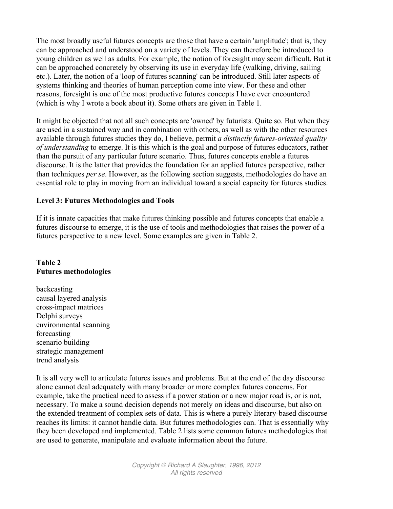The most broadly useful futures concepts are those that have a certain 'amplitude'; that is, they can be approached and understood on a variety of levels. They can therefore be introduced to young children as well as adults. For example, the notion of foresight may seem difficult. But it can be approached concretely by observing its use in everyday life (walking, driving, sailing etc.). Later, the notion of a 'loop of futures scanning' can be introduced. Still later aspects of systems thinking and theories of human perception come into view. For these and other reasons, foresight is one of the most productive futures concepts I have ever encountered (which is why I wrote a book about it). Some others are given in Table 1.

It might be objected that not all such concepts are 'owned' by futurists. Quite so. But when they are used in a sustained way and in combination with others, as well as with the other resources available through futures studies they do, I believe, permit *a distinctly futures-oriented quality of understanding* to emerge. It is this which is the goal and purpose of futures educators, rather than the pursuit of any particular future scenario. Thus, futures concepts enable a futures discourse. It is the latter that provides the foundation for an applied futures perspective, rather than techniques *per se*. However, as the following section suggests, methodologies do have an essential role to play in moving from an individual toward a social capacity for futures studies.

#### **Level 3: Futures Methodologies and Tools**

If it is innate capacities that make futures thinking possible and futures concepts that enable a futures discourse to emerge, it is the use of tools and methodologies that raises the power of a futures perspective to a new level. Some examples are given in Table 2.

#### **Table 2 Futures methodologies**

backcasting causal layered analysis cross-impact matrices Delphi surveys environmental scanning forecasting scenario building strategic management trend analysis

It is all very well to articulate futures issues and problems. But at the end of the day discourse alone cannot deal adequately with many broader or more complex futures concerns. For example, take the practical need to assess if a power station or a new major road is, or is not, necessary. To make a sound decision depends not merely on ideas and discourse, but also on the extended treatment of complex sets of data. This is where a purely literary-based discourse reaches its limits: it cannot handle data. But futures methodologies can. That is essentially why they been developed and implemented. Table 2 lists some common futures methodologies that are used to generate, manipulate and evaluate information about the future.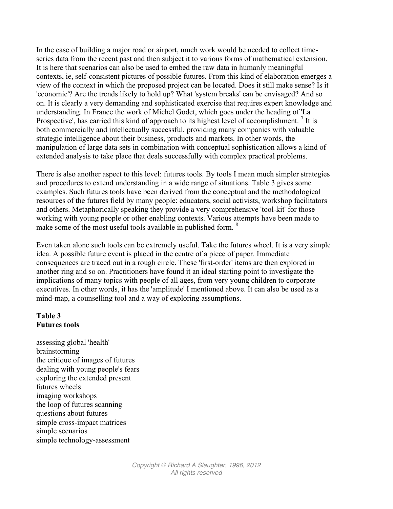In the case of building a major road or airport, much work would be needed to collect timeseries data from the recent past and then subject it to various forms of mathematical extension. It is here that scenarios can also be used to embed the raw data in humanly meaningful contexts, ie, self-consistent pictures of possible futures. From this kind of elaboration emerges a view of the context in which the proposed project can be located. Does it still make sense? Is it 'economic'? Are the trends likely to hold up? What 'system breaks' can be envisaged? And so on. It is clearly a very demanding and sophisticated exercise that requires expert knowledge and understanding. In France the work of Michel Godet, which goes under the heading of 'La Prospective', has carried this kind of approach to its highest level of accomplishment.  $\frac{7}{1}$  It is both commercially and intellectually successful, providing many companies with valuable strategic intelligence about their business, products and markets. In other words, the manipulation of large data sets in combination with conceptual sophistication allows a kind of extended analysis to take place that deals successfully with complex practical problems.

There is also another aspect to this level: futures tools. By tools I mean much simpler strategies and procedures to extend understanding in a wide range of situations. Table 3 gives some examples. Such futures tools have been derived from the conceptual and the methodological resources of the futures field by many people: educators, social activists, workshop facilitators and others. Metaphorically speaking they provide a very comprehensive 'tool-kit' for those working with young people or other enabling contexts. Various attempts have been made to make some of the most useful tools available in published form. <sup>8</sup>

Even taken alone such tools can be extremely useful. Take the futures wheel. It is a very simple idea. A possible future event is placed in the centre of a piece of paper. Immediate consequences are traced out in a rough circle. These 'first-order' items are then explored in another ring and so on. Practitioners have found it an ideal starting point to investigate the implications of many topics with people of all ages, from very young children to corporate executives. In other words, it has the 'amplitude' I mentioned above. It can also be used as a mind-map, a counselling tool and a way of exploring assumptions.

# **Table 3 Futures tools**

assessing global 'health' brainstorming the critique of images of futures dealing with young people's fears exploring the extended present futures wheels imaging workshops the loop of futures scanning questions about futures simple cross-impact matrices simple scenarios simple technology-assessment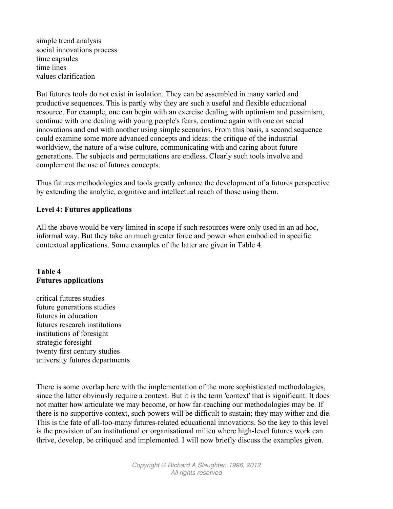simple trend analysis social innovations process time capsules time lines values clarification

But futures tools do not exist in isolation. They can be assembled in many varied and productive sequences. This is partly why they are such a useful and flexible educational resource. For example, one can begin with an exercise dealing with optimism and pessimism, continue with one dealing with young people's fears, continue again with one on social innovations and end with another using simple scenarios. From this basis, a second sequence could examine some more advanced concepts and ideas: the critique of the industrial worldview, the nature of a wise culture, communicating with and caring about future generations. The subjects and permutations are endless. Clearly such tools involve and complement the use of futures concepts.

Thus futures methodologies and tools greatly enhance the development of a futures perspective by extending the analytic, cognitive and intellectual reach of those using them.

#### **Level 4: Futures applications**

All the above would be very limited in scope if such resources were only used in an ad hoc, informal way. But they take on much greater force and power when embodied in specific contextual applications. Some examples of the latter are given in Table 4.

# **Table 4 Futures applications**

critical futures studies future generations studies futures in education futures research institutions institutions of foresight strategic foresight twenty first century studies university futures departments

There is some overlap here with the implementation of the more sophisticated methodologies, since the latter obviously require a context. But it is the term 'context' that is significant. It does not matter how articulate we may become, or how far-reaching our methodologies may be. If there is no supportive context, such powers will be difficult to sustain; they may wither and die. This is the fate of all-too-many futures-related educational innovations. So the key to this level is the provision of an institutional or organisational milieu where high-level futures work can thrive, develop, be critiqued and implemented. I will now briefly discuss the examples given.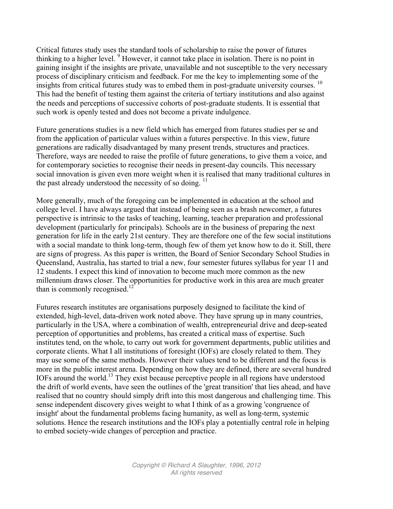Critical futures study uses the standard tools of scholarship to raise the power of futures thinking to a higher level.  $9$  However, it cannot take place in isolation. There is no point in gaining insight if the insights are private, unavailable and not susceptible to the very necessary process of disciplinary criticism and feedback. For me the key to implementing some of the insights from critical futures study was to embed them in post-graduate university courses.<sup>10</sup> This had the benefit of testing them against the criteria of tertiary institutions and also against the needs and perceptions of successive cohorts of post-graduate students. It is essential that such work is openly tested and does not become a private indulgence.

Future generations studies is a new field which has emerged from futures studies per se and from the application of particular values within a futures perspective. In this view, future generations are radically disadvantaged by many present trends, structures and practices. Therefore, ways are needed to raise the profile of future generations, to give them a voice, and for contemporary societies to recognise their needs in present-day councils. This necessary social innovation is given even more weight when it is realised that many traditional cultures in the past already understood the necessity of so doing.  $^{11}$ 

More generally, much of the foregoing can be implemented in education at the school and college level. I have always argued that instead of being seen as a brash newcomer, a futures perspective is intrinsic to the tasks of teaching, learning, teacher preparation and professional development (particularly for principals). Schools are in the business of preparing the next generation for life in the early 21st century. They are therefore one of the few social institutions with a social mandate to think long-term, though few of them yet know how to do it. Still, there are signs of progress. As this paper is written, the Board of Senior Secondary School Studies in Queensland, Australia, has started to trial a new, four semester futures syllabus for year 11 and 12 students. I expect this kind of innovation to become much more common as the new millennium draws closer. The opportunities for productive work in this area are much greater than is commonly recognised.<sup>12</sup>

Futures research institutes are organisations purposely designed to facilitate the kind of extended, high-level, data-driven work noted above. They have sprung up in many countries, particularly in the USA, where a combination of wealth, entrepreneurial drive and deep-seated perception of opportunities and problems, has created a critical mass of expertise. Such institutes tend, on the whole, to carry out work for government departments, public utilities and corporate clients. What I all institutions of foresight (IOFs) are closely related to them. They may use some of the same methods. However their values tend to be different and the focus is more in the public interest arena. Depending on how they are defined, there are several hundred IOFs around the world.<sup>13</sup> They exist because perceptive people in all regions have understood the drift of world events, have seen the outlines of the 'great transition' that lies ahead, and have realised that no country should simply drift into this most dangerous and challenging time. This sense independent discovery gives weight to what I think of as a growing 'congruence of insight' about the fundamental problems facing humanity, as well as long-term, systemic solutions. Hence the research institutions and the IOFs play a potentially central role in helping to embed society-wide changes of perception and practice.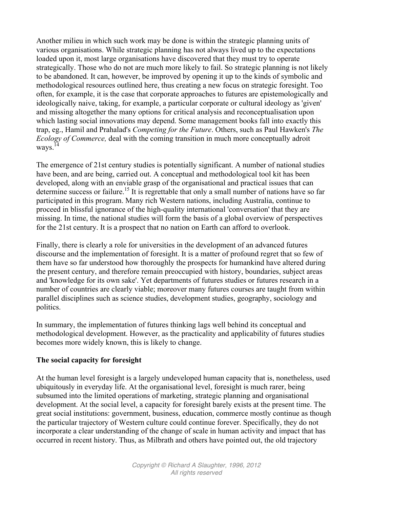Another milieu in which such work may be done is within the strategic planning units of various organisations. While strategic planning has not always lived up to the expectations loaded upon it, most large organisations have discovered that they must try to operate strategically. Those who do not are much more likely to fail. So strategic planning is not likely to be abandoned. It can, however, be improved by opening it up to the kinds of symbolic and methodological resources outlined here, thus creating a new focus on strategic foresight. Too often, for example, it is the case that corporate approaches to futures are epistemologically and ideologically naive, taking, for example, a particular corporate or cultural ideology as 'given' and missing altogether the many options for critical analysis and reconceptualisation upon which lasting social innovations may depend. Some management books fall into exactly this trap, eg., Hamil and Prahalad's *Competing for the Future*. Others, such as Paul Hawken's *The Ecology of Commerce,* deal with the coming transition in much more conceptually adroit ways. 14

The emergence of 21st century studies is potentially significant. A number of national studies have been, and are being, carried out. A conceptual and methodological tool kit has been developed, along with an enviable grasp of the organisational and practical issues that can determine success or failure.<sup>15</sup> It is regrettable that only a small number of nations have so far participated in this program. Many rich Western nations, including Australia, continue to proceed in blissful ignorance of the high-quality international 'conversation' that they are missing. In time, the national studies will form the basis of a global overview of perspectives for the 21st century. It is a prospect that no nation on Earth can afford to overlook.

Finally, there is clearly a role for universities in the development of an advanced futures discourse and the implementation of foresight. It is a matter of profound regret that so few of them have so far understood how thoroughly the prospects for humankind have altered during the present century, and therefore remain preoccupied with history, boundaries, subject areas and 'knowledge for its own sake'. Yet departments of futures studies or futures research in a number of countries are clearly viable; moreover many futures courses are taught from within parallel disciplines such as science studies, development studies, geography, sociology and politics.

In summary, the implementation of futures thinking lags well behind its conceptual and methodological development. However, as the practicality and applicability of futures studies becomes more widely known, this is likely to change.

# **The social capacity for foresight**

At the human level foresight is a largely undeveloped human capacity that is, nonetheless, used ubiquitously in everyday life. At the organisational level, foresight is much rarer, being subsumed into the limited operations of marketing, strategic planning and organisational development. At the social level, a capacity for foresight barely exists at the present time. The great social institutions: government, business, education, commerce mostly continue as though the particular trajectory of Western culture could continue forever. Specifically, they do not incorporate a clear understanding of the change of scale in human activity and impact that has occurred in recent history. Thus, as Milbrath and others have pointed out, the old trajectory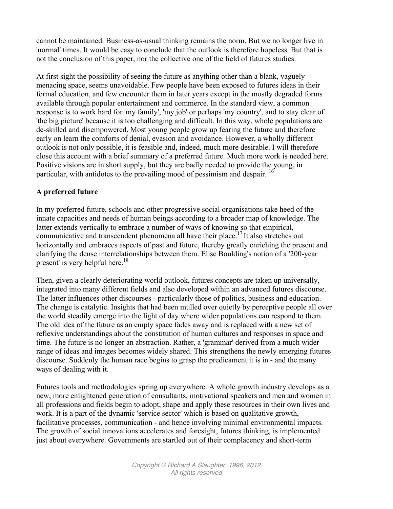cannot be maintained. Business-as-usual thinking remains the norm. But we no longer live in 'normal' times. It would be easy to conclude that the outlook is therefore hopeless. But that is not the conclusion of this paper, nor the collective one of the field of futures studies.

At first sight the possibility of seeing the future as anything other than a blank, vaguely menacing space, seems unavoidable. Few people have been exposed to futures ideas in their formal education, and few encounter them in later years except in the mostly degraded forms available through popular entertainment and commerce. In the standard view, a common response is to work hard for 'my family', 'my job' or perhaps 'my country', and to stay clear of 'the big picture' because it is too challenging and difficult. In this way, whole populations are de-skilled and disempowered. Most young people grow up fearing the future and therefore early on learn the comforts of denial, evasion and avoidance. However, a wholly different outlook is not only possible, it is feasible and, indeed, much more desirable. I will therefore close this account with a brief summary of a preferred future. Much more work is needed here. Positive visions are in short supply, but they are badly needed to provide the young, in particular, with antidotes to the prevailing mood of pessimism and despair. <sup>16</sup>

# **A preferred future**

In my preferred future, schools and other progressive social organisations take heed of the innate capacities and needs of human beings according to a broader map of knowledge. The latter extends vertically to embrace a number of ways of knowing so that empirical, communicative and transcendent phenomena all have their place.<sup>17</sup> It also stretches out horizontally and embraces aspects of past and future, thereby greatly enriching the present and clarifying the dense interrelationships between them. Elise Boulding's notion of a '200-year present' is very helpful here.<sup>18</sup>

Then, given a clearly deteriorating world outlook, futures concepts are taken up universally, integrated into many different fields and also developed within an advanced futures discourse. The latter influences other discourses - particularly those of politics, business and education. The change is catalytic. Insights that had been mulled over quietly by perceptive people all over the world steadily emerge into the light of day where wider populations can respond to them. The old idea of the future as an empty space fades away and is replaced with a new set of reflexive understandings about the constitution of human cultures and responses in space and time. The future is no longer an abstraction. Rather, a 'grammar' derived from a much wider range of ideas and images becomes widely shared. This strengthens the newly emerging futures discourse. Suddenly the human race begins to grasp the predicament it is in - and the many ways of dealing with it.

Futures tools and methodologies spring up everywhere. A whole growth industry develops as a new, more enlightened generation of consultants, motivational speakers and men and women in all professions and fields begin to adopt, shape and apply these resources in their own lives and work. It is a part of the dynamic 'service sector' which is based on qualitative growth, facilitative processes, communication - and hence involving minimal environmental impacts. The growth of social innovations accelerates and foresight, futures thinking, is implemented just about everywhere. Governments are startled out of their complacency and short-term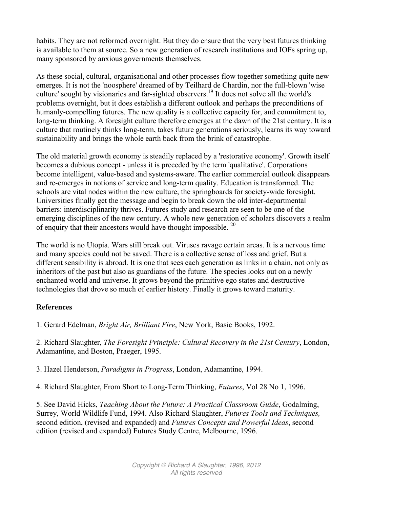habits. They are not reformed overnight. But they do ensure that the very best futures thinking is available to them at source. So a new generation of research institutions and IOFs spring up, many sponsored by anxious governments themselves.

As these social, cultural, organisational and other processes flow together something quite new emerges. It is not the 'noosphere' dreamed of by Teilhard de Chardin, nor the full-blown 'wise culture' sought by visionaries and far-sighted observers.<sup>19</sup> It does not solve all the world's problems overnight, but it does establish a different outlook and perhaps the preconditions of humanly-compelling futures. The new quality is a collective capacity for, and commitment to, long-term thinking. A foresight culture therefore emerges at the dawn of the 21st century. It is a culture that routinely thinks long-term, takes future generations seriously, learns its way toward sustainability and brings the whole earth back from the brink of catastrophe.

The old material growth economy is steadily replaced by a 'restorative economy'. Growth itself becomes a dubious concept - unless it is preceded by the term 'qualitative'. Corporations become intelligent, value-based and systems-aware. The earlier commercial outlook disappears and re-emerges in notions of service and long-term quality. Education is transformed. The schools are vital nodes within the new culture, the springboards for society-wide foresight. Universities finally get the message and begin to break down the old inter-departmental barriers: interdisciplinarity thrives. Futures study and research are seen to be one of the emerging disciplines of the new century. A whole new generation of scholars discovers a realm of enquiry that their ancestors would have thought impossible. <sup>20</sup>

The world is no Utopia. Wars still break out. Viruses ravage certain areas. It is a nervous time and many species could not be saved. There is a collective sense of loss and grief. But a different sensibility is abroad. It is one that sees each generation as links in a chain, not only as inheritors of the past but also as guardians of the future. The species looks out on a newly enchanted world and universe. It grows beyond the primitive ego states and destructive technologies that drove so much of earlier history. Finally it grows toward maturity.

# **References**

1. Gerard Edelman, *Bright Air, Brilliant Fire*, New York, Basic Books, 1992.

2. Richard Slaughter, *The Foresight Principle: Cultural Recovery in the 21st Century*, London, Adamantine, and Boston, Praeger, 1995.

3. Hazel Henderson, *Paradigms in Progress*, London, Adamantine, 1994.

4. Richard Slaughter, From Short to Long-Term Thinking, *Futures*, Vol 28 No 1, 1996.

5. See David Hicks, *Teaching About the Future: A Practical Classroom Guide*, Godalming, Surrey, World Wildlife Fund, 1994. Also Richard Slaughter, *Futures Tools and Techniques,* second edition, (revised and expanded) and *Futures Concepts and Powerful Ideas*, second edition (revised and expanded) Futures Study Centre, Melbourne, 1996.